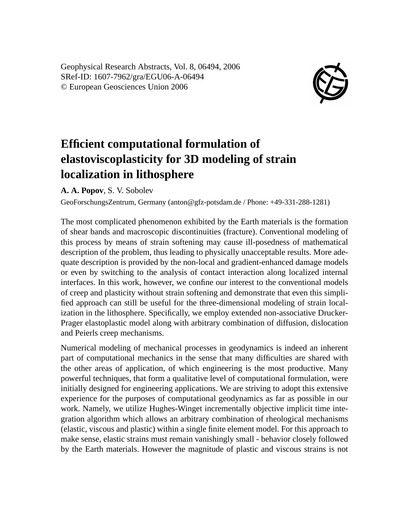Geophysical Research Abstracts, Vol. 8, 06494, 2006 SRef-ID: 1607-7962/gra/EGU06-A-06494 © European Geosciences Union 2006



## **Efficient computational formulation of elastoviscoplasticity for 3D modeling of strain localization in lithosphere**

**A. A. Popov**, S. V. Sobolev

GeoForschungsZentrum, Germany (anton@gfz-potsdam.de / Phone: +49-331-288-1281)

The most complicated phenomenon exhibited by the Earth materials is the formation of shear bands and macroscopic discontinuities (fracture). Conventional modeling of this process by means of strain softening may cause ill-posedness of mathematical description of the problem, thus leading to physically unacceptable results. More adequate description is provided by the non-local and gradient-enhanced damage models or even by switching to the analysis of contact interaction along localized internal interfaces. In this work, however, we confine our interest to the conventional models of creep and plasticity without strain softening and demonstrate that even this simplified approach can still be useful for the three-dimensional modeling of strain localization in the lithosphere. Specifically, we employ extended non-associative Drucker-Prager elastoplastic model along with arbitrary combination of diffusion, dislocation and Peierls creep mechanisms.

Numerical modeling of mechanical processes in geodynamics is indeed an inherent part of computational mechanics in the sense that many difficulties are shared with the other areas of application, of which engineering is the most productive. Many powerful techniques, that form a qualitative level of computational formulation, were initially designed for engineering applications. We are striving to adopt this extensive experience for the purposes of computational geodynamics as far as possible in our work. Namely, we utilize Hughes-Winget incrementally objective implicit time integration algorithm which allows an arbitrary combination of rheological mechanisms (elastic, viscous and plastic) within a single finite element model. For this approach to make sense, elastic strains must remain vanishingly small - behavior closely followed by the Earth materials. However the magnitude of plastic and viscous strains is not